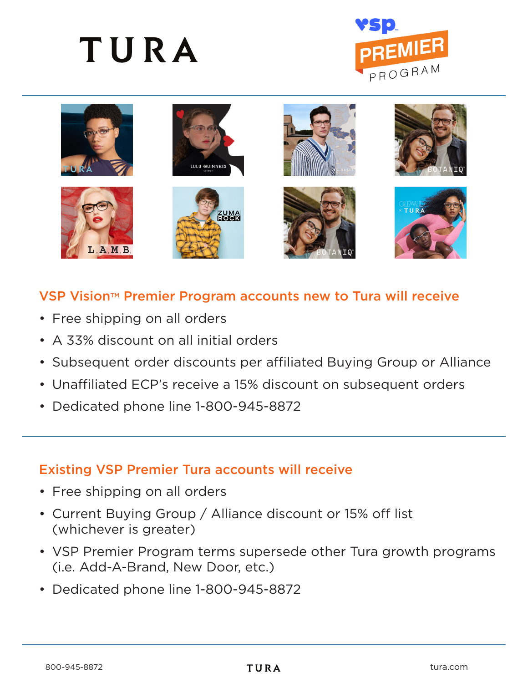# TURA





## VSP Vision<sup>™</sup> Premier Program accounts new to Tura will receive

- Free shipping on all orders
- A 33% discount on all initial orders
- Subsequent order discounts per affiliated Buying Group or Alliance
- Unaffiliated ECP's receive a 15% discount on subsequent orders
- Dedicated phone line 1-800-945-8872

## Existing VSP Premier Tura accounts will receive

- Free shipping on all orders
- Current Buying Group / Alliance discount or 15% off list (whichever is greater)
- VSP Premier Program terms supersede other Tura growth programs (i.e. Add-A-Brand, New Door, etc.)
- Dedicated phone line 1-800-945-8872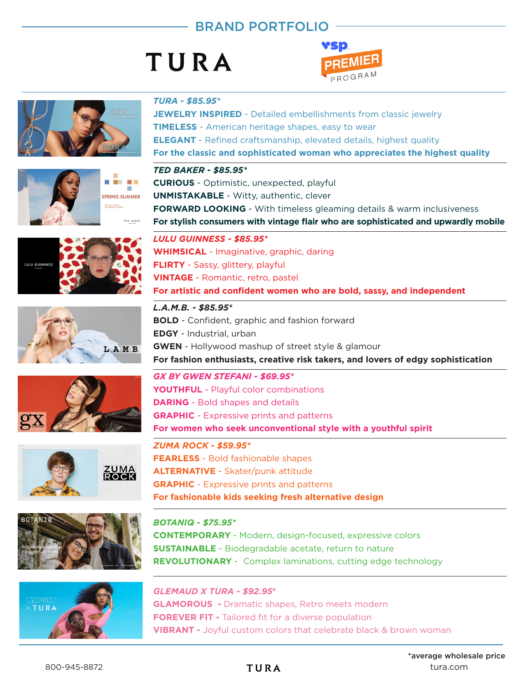## BRAND PORTFOLIO

## TURA





















#### *TURA* **-** *\$85.95\**

**JEWELRY INSPIRED** - Detailed embellishments from classic jewelry **TIMELESS** - American heritage shapes, easy to wear **ELEGANT** - Refined craftsmanship, elevated details, highest quality **For the classic and sophisticated woman who appreciates the highest quality**

#### *TED BAKER - \$85.95\**

**CURIOUS** - Optimistic, unexpected, playful **UNMISTAKABLE** - Witty, authentic, clever **FORWARD LOOKING** - With timeless gleaming details & warm inclusiveness **For stylish consumers with vintage flair who are sophisticated and upwardly mobile**

#### *LULU GUINNESS - \$85.95\** **WHIMSICAL** - Imaginative, graphic, daring

**FLIRTY** - Sassy, glittery, playful **VINTAGE** - Romantic, retro, pastel

**For artistic and confident women who are bold, sassy, and independent**

#### *L.A.M.B. - \$85.95\**

*GX BY GWEN STEFANI - \$69.95\** **BOLD** - Confident, graphic and fashion forward **EDGY** - Industrial, urban **GWEN** - Hollywood mashup of street style & glamour **For fashion enthusiasts, creative risk takers, and lovers of edgy sophistication**

### **YOUTHFUL** - Playful color combinations **DARING** - Bold shapes and details **GRAPHIC** - Expressive prints and patterns **For women who seek unconventional style with a youthful spirit**

*ZUMA ROCK - \$59.95\** **FEARLESS** - Bold fashionable shapes **ALTERNATIVE** - Skater/punk attitude **GRAPHIC** - Expressive prints and patterns **For fashionable kids seeking fresh alternative design**

#### *BOTANIQ - \$75.95\**

**CONTEMPORARY** - Modern, design-focused, expressive colors **SUSTAINABLE** - Biodegradable acetate, return to nature **REVOLUTIONARY** - Complex laminations, cutting edge technology

### *GLEMAUD X TURA - \$92.95***\***

**GLAMOROUS -** Dramatic shapes, Retro meets modern **FOREVER FIT -** Tailored fit for a diverse population **VIBRANT -** Joyful custom colors that celebrate black & brown woman